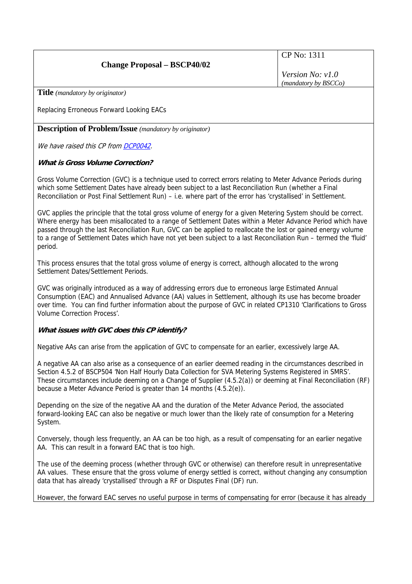# **Change Proposal – BSCP40/02**

CP No: 1311

*Version No: v1.0 (mandatory by BSCCo)*

**Title** *(mandatory by originator)* 

Replacing Erroneous Forward Looking EACs

**Description of Problem/Issue** *(mandatory by originator)* 

We have raised this CP from [DCP0042](http://www.elexon.co.uk/changeimplementation/ChangeProcess/proposals/proposal_details.aspx?proposalId=831).

## **What is Gross Volume Correction?**

Gross Volume Correction (GVC) is a technique used to correct errors relating to Meter Advance Periods during which some Settlement Dates have already been subject to a last Reconciliation Run (whether a Final Reconciliation or Post Final Settlement Run) – i.e. where part of the error has 'crystallised' in Settlement.

GVC applies the principle that the total gross volume of energy for a given Metering System should be correct. Where energy has been misallocated to a range of Settlement Dates within a Meter Advance Period which have passed through the last Reconciliation Run, GVC can be applied to reallocate the lost or gained energy volume to a range of Settlement Dates which have not yet been subject to a last Reconciliation Run – termed the 'fluid' period.

This process ensures that the total gross volume of energy is correct, although allocated to the wrong Settlement Dates/Settlement Periods.

GVC was originally introduced as a way of addressing errors due to erroneous large Estimated Annual Consumption (EAC) and Annualised Advance (AA) values in Settlement, although its use has become broader over time. You can find further information about the purpose of GVC in related CP1310 'Clarifications to Gross Volume Correction Process'.

#### **What issues with GVC does this CP identify?**

Negative AAs can arise from the application of GVC to compensate for an earlier, excessively large AA.

A negative AA can also arise as a consequence of an earlier deemed reading in the circumstances described in Section 4.5.2 of BSCP504 'Non Half Hourly Data Collection for SVA Metering Systems Registered in SMRS'. These circumstances include deeming on a Change of Supplier (4.5.2(a)) or deeming at Final Reconciliation (RF) because a Meter Advance Period is greater than 14 months (4.5.2(e)).

Depending on the size of the negative AA and the duration of the Meter Advance Period, the associated forward-looking EAC can also be negative or much lower than the likely rate of consumption for a Metering System.

Conversely, though less frequently, an AA can be too high, as a result of compensating for an earlier negative AA. This can result in a forward EAC that is too high.

The use of the deeming process (whether through GVC or otherwise) can therefore result in unrepresentative AA values. These ensure that the gross volume of energy settled is correct, without changing any consumption data that has already 'crystallised' through a RF or Disputes Final (DF) run.

However, the forward EAC serves no useful purpose in terms of compensating for error (because it has already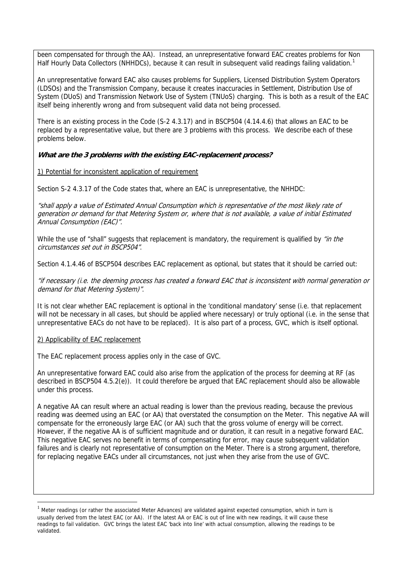been compensated for through the AA). Instead, an unrepresentative forward EAC creates problems for Non Half Hourly Data Collectors (NHHDCs), because it can result in subsequent valid readings failing validation.<sup>[1](#page-1-0)</sup>

An unrepresentative forward EAC also causes problems for Suppliers, Licensed Distribution System Operators (LDSOs) and the Transmission Company, because it creates inaccuracies in Settlement, Distribution Use of System (DUoS) and Transmission Network Use of System (TNUoS) charging. This is both as a result of the EAC itself being inherently wrong and from subsequent valid data not being processed.

There is an existing process in the Code (S-2 4.3.17) and in BSCP504 (4.14.4.6) that allows an EAC to be replaced by a representative value, but there are 3 problems with this process. We describe each of these problems below.

#### **What are the 3 problems with the existing EAC-replacement process?**

#### 1) Potential for inconsistent application of requirement

Section S-2 4.3.17 of the Code states that, where an EAC is unrepresentative, the NHHDC:

"shall apply a value of Estimated Annual Consumption which is representative of the most likely rate of generation or demand for that Metering System or, where that is not available, a value of initial Estimated Annual Consumption (EAC)".

While the use of "shall" suggests that replacement is mandatory, the requirement is qualified by "in the circumstances set out in BSCP504".

Section 4.1.4.46 of BSCP504 describes EAC replacement as optional, but states that it should be carried out:

"if necessary (i.e. the deeming process has created a forward EAC that is inconsistent with normal generation or demand for that Metering System)".

It is not clear whether EAC replacement is optional in the 'conditional mandatory' sense (i.e. that replacement will not be necessary in all cases, but should be applied where necessary) or truly optional (i.e. in the sense that unrepresentative EACs do not have to be replaced). It is also part of a process, GVC, which is itself optional.

#### 2) Applicability of EAC replacement

 $\overline{a}$ 

The EAC replacement process applies only in the case of GVC.

An unrepresentative forward EAC could also arise from the application of the process for deeming at RF (as described in BSCP504 4.5.2(e)). It could therefore be argued that EAC replacement should also be allowable under this process.

A negative AA can result where an actual reading is lower than the previous reading, because the previous reading was deemed using an EAC (or AA) that overstated the consumption on the Meter. This negative AA will compensate for the erroneously large EAC (or AA) such that the gross volume of energy will be correct. However, if the negative AA is of sufficient magnitude and or duration, it can result in a negative forward EAC. This negative EAC serves no benefit in terms of compensating for error, may cause subsequent validation failures and is clearly not representative of consumption on the Meter. There is a strong argument, therefore, for replacing negative EACs under all circumstances, not just when they arise from the use of GVC.

<span id="page-1-0"></span> $<sup>1</sup>$  Meter readings (or rather the associated Meter Advances) are validated against expected consumption, which in turn is</sup> usually derived from the latest EAC (or AA). If the latest AA or EAC is out of line with new readings, it will cause these readings to fail validation. GVC brings the latest EAC 'back into line' with actual consumption, allowing the readings to be validated.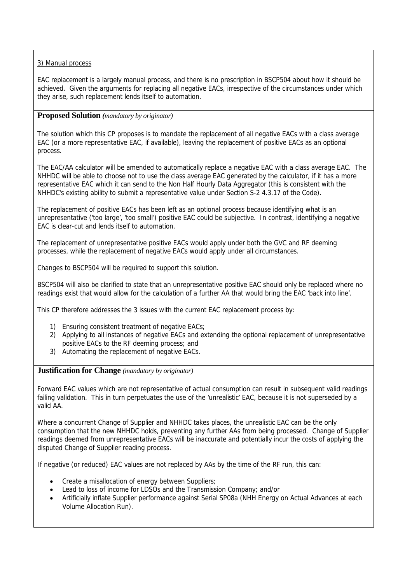## 3) Manual process

EAC replacement is a largely manual process, and there is no prescription in BSCP504 about how it should be achieved. Given the arguments for replacing all negative EACs, irrespective of the circumstances under which they arise, such replacement lends itself to automation.

## **Proposed Solution** *(mandatory by originator)*

The solution which this CP proposes is to mandate the replacement of all negative EACs with a class average EAC (or a more representative EAC, if available), leaving the replacement of positive EACs as an optional process.

The EAC/AA calculator will be amended to automatically replace a negative EAC with a class average EAC. The NHHDC will be able to choose not to use the class average EAC generated by the calculator, if it has a more representative EAC which it can send to the Non Half Hourly Data Aggregator (this is consistent with the NHHDC's existing ability to submit a representative value under Section S-2 4.3.17 of the Code).

The replacement of positive EACs has been left as an optional process because identifying what is an unrepresentative ('too large', 'too small') positive EAC could be subjective. In contrast, identifying a negative EAC is clear-cut and lends itself to automation.

The replacement of unrepresentative positive EACs would apply under both the GVC and RF deeming processes, while the replacement of negative EACs would apply under all circumstances.

Changes to BSCP504 will be required to support this solution.

BSCP504 will also be clarified to state that an unrepresentative positive EAC should only be replaced where no readings exist that would allow for the calculation of a further AA that would bring the EAC 'back into line'.

This CP therefore addresses the 3 issues with the current EAC replacement process by:

- 1) Ensuring consistent treatment of negative EACs;
- 2) Applying to all instances of negative EACs and extending the optional replacement of unrepresentative positive EACs to the RF deeming process; and
- 3) Automating the replacement of negative EACs.

**Justification for Change** *(mandatory by originator)* 

Forward EAC values which are not representative of actual consumption can result in subsequent valid readings failing validation. This in turn perpetuates the use of the 'unrealistic' EAC, because it is not superseded by a valid AA.

Where a concurrent Change of Supplier and NHHDC takes places, the unrealistic EAC can be the only consumption that the new NHHDC holds, preventing any further AAs from being processed. Change of Supplier readings deemed from unrepresentative EACs will be inaccurate and potentially incur the costs of applying the disputed Change of Supplier reading process.

If negative (or reduced) EAC values are not replaced by AAs by the time of the RF run, this can:

- Create a misallocation of energy between Suppliers;
- Lead to loss of income for LDSOs and the Transmission Company; and/or
- Artificially inflate Supplier performance against Serial SP08a (NHH Energy on Actual Advances at each Volume Allocation Run).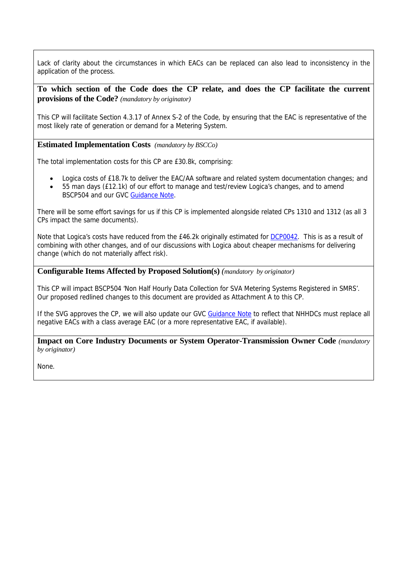Lack of clarity about the circumstances in which EACs can be replaced can also lead to inconsistency in the application of the process.

**To which section of the Code does the CP relate, and does the CP facilitate the current provisions of the Code?** *(mandatory by originator)* 

This CP will facilitate Section 4.3.17 of Annex S-2 of the Code, by ensuring that the EAC is representative of the most likely rate of generation or demand for a Metering System.

**Estimated Implementation Costs** *(mandatory by BSCCo)* 

The total implementation costs for this CP are £30.8k, comprising:

- Logica costs of £18.7k to deliver the EAC/AA software and related system documentation changes; and
- 55 man days (£12.1k) of our effort to manage and test/review Logica's changes, and to amend BSCP504 and our GVC [Guidance Note](http://www.elexon.co.uk/documents/Publications/Guidance_Notes/Gross_Volume_Correction.pdf).

There will be some effort savings for us if this CP is implemented alongside related CPs 1310 and 1312 (as all 3 CPs impact the same documents).

Note that Logica's costs have reduced from the £46.2k originally estimated for [DCP0042.](http://www.elexon.co.uk/changeimplementation/ChangeProcess/proposals/proposal_details.aspx?proposalId=831) This is as a result of combining with other changes, and of our discussions with Logica about cheaper mechanisms for delivering change (which do not materially affect risk).

## **Configurable Items Affected by Proposed Solution(s)** *(mandatory by originator)*

This CP will impact BSCP504 'Non Half Hourly Data Collection for SVA Metering Systems Registered in SMRS'. Our proposed redlined changes to this document are provided as Attachment A to this CP.

If the SVG approves the CP, we will also update our GVC [Guidance Note](http://www.elexon.co.uk/documents/Publications/Guidance_Notes/Gross_Volume_Correction.pdf) to reflect that NHHDCs must replace all negative EACs with a class average EAC (or a more representative EAC, if available).

**Impact on Core Industry Documents or System Operator-Transmission Owner Code** *(mandatory by originator)* 

None.